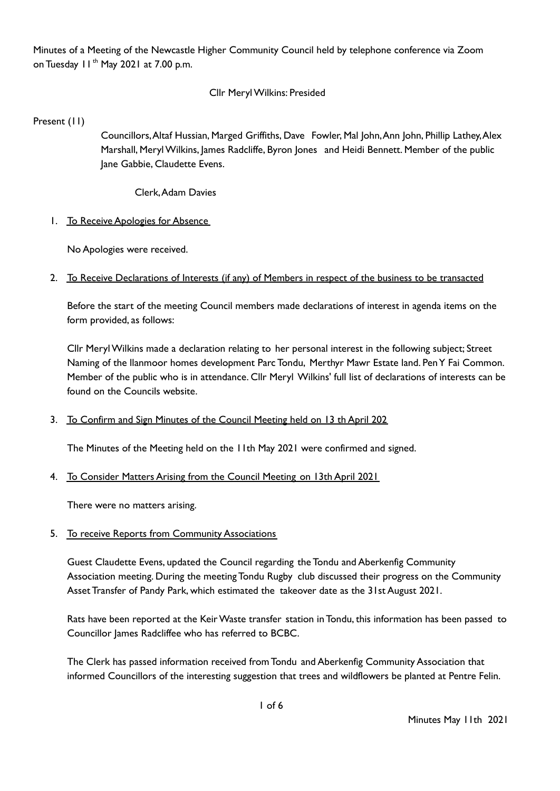Minutes of a Meeting of the Newcastle Higher Community Council held by telephone conference via Zoom on Tuesday 11<sup>th</sup> May 2021 at 7.00 p.m.

## Cllr MerylWilkins: Presided

Present (11)

Councillors,Altaf Hussian, Marged Griffiths, Dave Fowler, Mal John,Ann John, Phillip Lathey,Alex Marshall, MerylWilkins, James Radcliffe, Byron Jones and Heidi Bennett. Member of the public Jane Gabbie, Claudette Evens.

Clerk,Adam Davies

1. To Receive Apologies for Absence

No Apologies were received.

2. To Receive Declarations of Interests (if any) of Members in respect of the business to be transacted

Before the start of the meeting Council members made declarations of interest in agenda items on the form provided, as follows:

Cllr MerylWilkins made a declaration relating to her personal interest in the following subject; Street Naming of the llanmoor homes development Parc Tondu, Merthyr Mawr Estate land. PenY Fai Common. Member of the public who is in attendance. Cllr Meryl Wilkins' full list of declarations of interests can be found on the Councils website.

## 3. To Confirm and Sign Minutes of the Council Meeting held on 13 th April 202

The Minutes of the Meeting held on the 11th May 2021 were confirmed and signed.

4. To Consider Matters Arising from the Council Meeting on 13th April 2021

There were no matters arising.

5. To receive Reports from Community Associations

Guest Claudette Evens, updated the Council regarding the Tondu and Aberkenfig Community Association meeting. During the meeting Tondu Rugby club discussed their progress on the Community Asset Transfer of Pandy Park, which estimated the takeover date as the 31st August 2021.

Rats have been reported at the KeirWaste transfer station in Tondu, this information has been passed to Councillor James Radcliffee who has referred to BCBC.

The Clerk has passed information received fromTondu and Aberkenfig Community Association that informed Councillors of the interesting suggestion that trees and wildflowers be planted at Pentre Felin.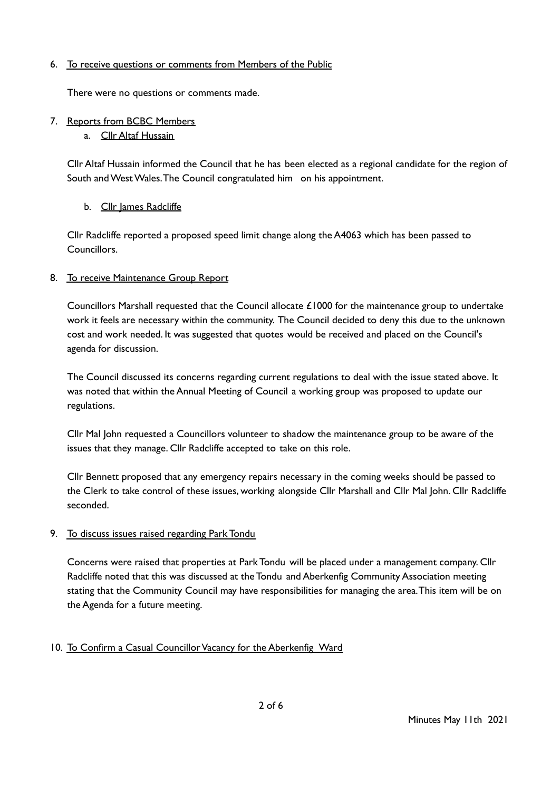## 6. To receive questions or comments from Members of the Public

There were no questions or comments made.

## 7. Reports from BCBC Members

a. Cllr Altaf Hussain

Cllr Altaf Hussain informed the Council that he has been elected as a regional candidate for the region of South and West Wales. The Council congratulated him on his appointment.

## b. Cllr James Radcliffe

Cllr Radcliffe reported a proposed speed limit change along the A4063 which has been passed to Councillors.

## 8. To receive Maintenance Group Report

Councillors Marshall requested that the Council allocate  $£1000$  for the maintenance group to undertake work it feels are necessary within the community. The Council decided to deny this due to the unknown cost and work needed. It was suggested that quotes would be received and placed on the Council's agenda for discussion.

The Council discussed its concerns regarding current regulations to deal with the issue stated above. It was noted that within the Annual Meeting of Council a working group was proposed to update our regulations.

Cllr Mal John requested a Councillors volunteer to shadow the maintenance group to be aware of the issues that they manage. Cllr Radcliffe accepted to take on this role.

Cllr Bennett proposed that any emergency repairs necessary in the coming weeks should be passed to the Clerk to take control of these issues, working alongside Cllr Marshall and Cllr Mal John. Cllr Radcliffe seconded.

## 9. To discuss issues raised regarding Park Tondu

Concerns were raised that properties at Park Tondu will be placed under a management company. Cllr Radcliffe noted that this was discussed at the Tondu and Aberkenfig Community Association meeting stating that the Community Council may have responsibilities for managing the area.This item will be on the Agenda for a future meeting.

# 10. To Confirm a Casual Councillor Vacancy for the Aberkenfig Ward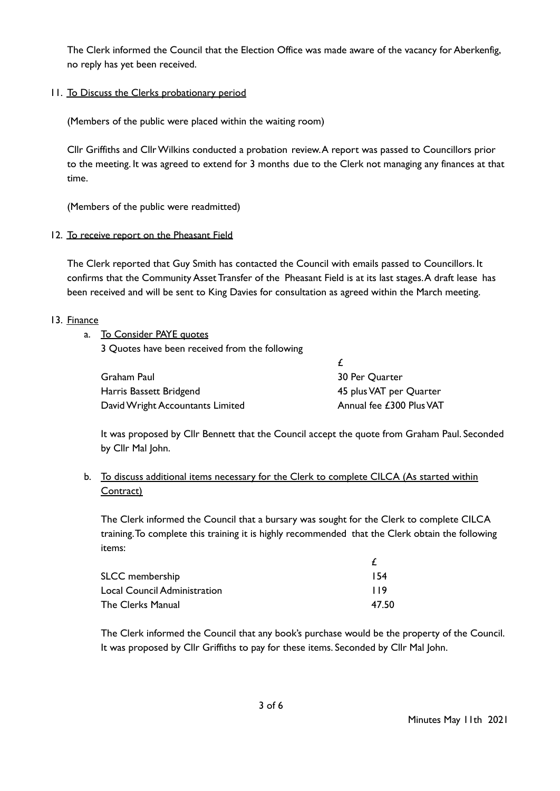The Clerk informed the Council that the Election Office was made aware of the vacancy for Aberkenfig, no reply has yet been received.

## 11. To Discuss the Clerks probationary period

(Members of the public were placed within the waiting room)

Cllr Griffiths and CllrWilkins conducted a probation review.A report was passed to Councillors prior to the meeting. It was agreed to extend for 3 months due to the Clerk not managing any finances at that time.

(Members of the public were readmitted)

#### 12. To receive report on the Pheasant Field

The Clerk reported that Guy Smith has contacted the Council with emails passed to Councillors. It confirms that the Community Asset Transfer of the Pheasant Field is at its last stages.A draft lease has been received and will be sent to King Davies for consultation as agreed within the March meeting.

#### 13. Finance

| a. To Consider PAYE quotes                     |  |
|------------------------------------------------|--|
| 3 Quotes have been received from the following |  |

| Graham Paul                      | 30 Per Quarter           |
|----------------------------------|--------------------------|
| Harris Bassett Bridgend          | 45 plus VAT per Quarter  |
| David Wright Accountants Limited | Annual fee £300 Plus VAT |

It was proposed by Cllr Bennett that the Council accept the quote from Graham Paul. Seconded by Cllr Mal John.

## b. To discuss additional items necessary for the Clerk to complete CILCA (As started within Contract)

The Clerk informed the Council that a bursary was sought for the Clerk to complete CILCA training.To complete this training it is highly recommended that the Clerk obtain the following items:

| SLCC membership              | 154   |
|------------------------------|-------|
| Local Council Administration | 119   |
| The Clerks Manual            | 47.50 |

The Clerk informed the Council that any book's purchase would be the property of the Council. It was proposed by Cllr Griffiths to pay for these items. Seconded by Cllr Mal John.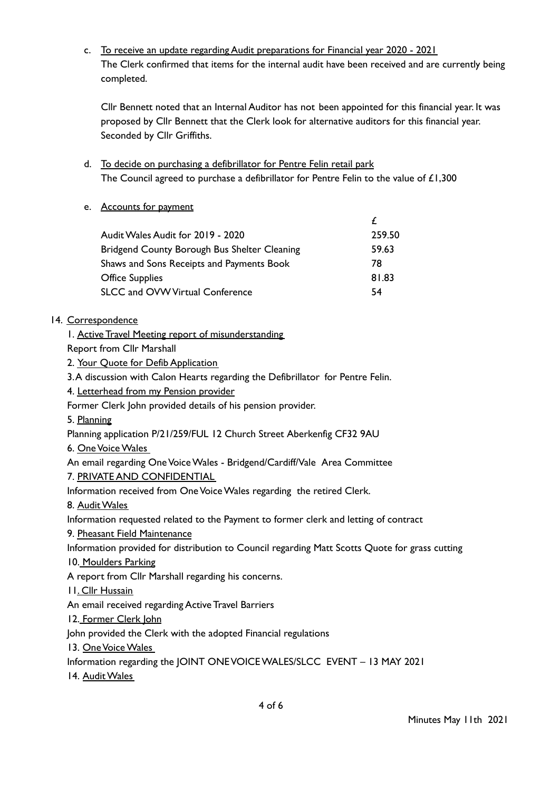c. To receive an update regarding Audit preparations for Financial year 2020 - 2021 The Clerk confirmed that items for the internal audit have been received and are currently being completed.

Cllr Bennett noted that an Internal Auditor has not been appointed for this financial year. It was proposed by Cllr Bennett that the Clerk look for alternative auditors for this financial year. Seconded by Cllr Griffiths.

£

- d. To decide on purchasing a defibrillator for Pentre Felin retail park The Council agreed to purchase a defibrillator for Pentre Felin to the value of £1,300
- e. Accounts for payment

| Audit Wales Audit for 2019 - 2020            | 259.50 |
|----------------------------------------------|--------|
| Bridgend County Borough Bus Shelter Cleaning | 59.63  |
| Shaws and Sons Receipts and Payments Book    | 78     |
| <b>Office Supplies</b>                       | 81.83  |
| <b>SLCC and OVW Virtual Conference</b>       | 54     |
|                                              |        |

# 14. Correspondence

1. Active Travel Meeting report of misunderstanding

Report from Cllr Marshall

2. Your Quote for Defib Application

3.A discussion with Calon Hearts regarding the Defibrillator for Pentre Felin.

4. Letterhead from my Pension provider

Former Clerk John provided details of his pension provider.

5. Planning

Planning application P/21/259/FUL 12 Church Street Aberkenfig CF32 9AU

6. OneVoiceWales

An email regarding One Voice Wales - Bridgend/Cardiff/Vale Area Committee 7. PRIVATE AND CONFIDENTIAL

Information received from One Voice Wales regarding the retired Clerk.

8. Audit Wales

Information requested related to the Payment to former clerk and letting of contract

9. Pheasant Field Maintenance

Information provided for distribution to Council regarding Matt Scotts Quote for grass cutting

10. Moulders Parking

A report from Cllr Marshall regarding his concerns.

- 11. Cllr Hussain
- An email received regarding Active Travel Barriers
- 12. Former Clerk John

John provided the Clerk with the adopted Financial regulations

13. One Voice Wales

Information regarding the JOINT ONEVOICEWALES/SLCC EVENT – 13 MAY 2021

14. Audit Wales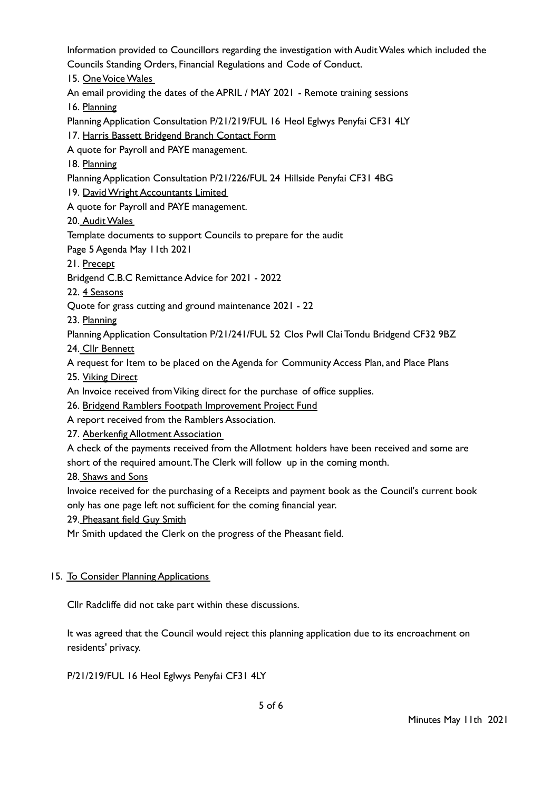Information provided to Councillors regarding the investigation with AuditWales which included the Councils Standing Orders, Financial Regulations and Code of Conduct. 15. OneVoiceWales An email providing the dates of the APRIL / MAY 2021 - Remote training sessions 16. Planning Planning Application Consultation P/21/219/FUL 16 Heol Eglwys Penyfai CF31 4LY 17. Harris Bassett Bridgend Branch Contact Form A quote for Payroll and PAYE management. 18. Planning Planning Application Consultation P/21/226/FUL 24 Hillside Penyfai CF31 4BG 19. DavidWright Accountants Limited A quote for Payroll and PAYE management. 20. Audit Wales Template documents to support Councils to prepare for the audit Page 5 Agenda May 11th 2021 21. Precept Bridgend C.B.C Remittance Advice for 2021 - 2022 22. 4 Seasons Quote for grass cutting and ground maintenance 2021 - 22 23. Planning Planning Application Consultation P/21/241/FUL 52 Clos Pwll Clai Tondu Bridgend CF32 9BZ 24. Cllr Bennett A request for Item to be placed on the Agenda for Community Access Plan, and Place Plans 25. Viking Direct An Invoice received from Viking direct for the purchase of office supplies. 26. Bridgend Ramblers Footpath Improvement Project Fund A report received from the Ramblers Association. 27. Aberkenfig Allotment Association A check of the payments received from the Allotment holders have been received and some are short of the required amount.The Clerk will follow up in the coming month. 28. Shaws and Sons Invoice received for the purchasing of a Receipts and payment book as the Council's current book only has one page left not sufficient for the coming financial year. 29. Pheasant field Guy Smith Mr Smith updated the Clerk on the progress of the Pheasant field.

# 15. To Consider Planning Applications

Cllr Radcliffe did not take part within these discussions.

It was agreed that the Council would reject this planning application due to its encroachment on residents' privacy.

P/21/219/FUL 16 Heol Eglwys Penyfai CF31 4LY